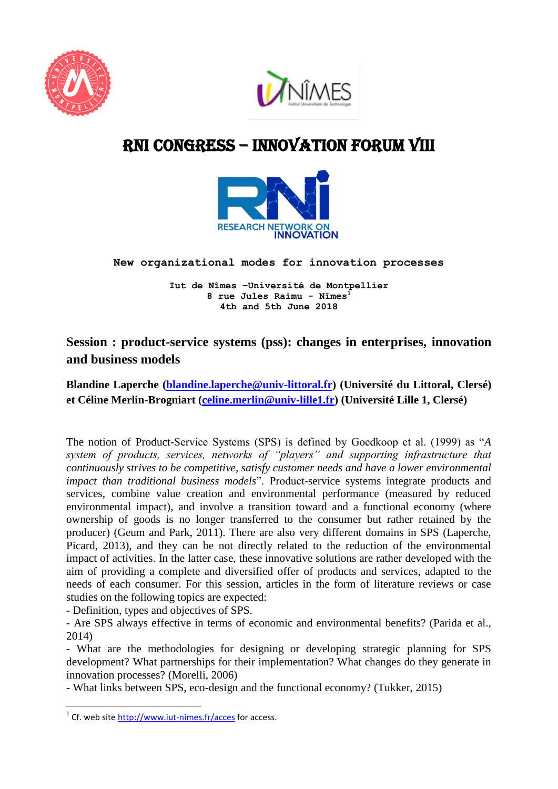



# RNI cONGRESS – innovation Forum VIII



**New organizational modes for innovation processes** 

**Iut de Nîmes –Université de Montpellier 8 rue Jules Raimu - Nîmes<sup>1</sup> 4th and 5th June 2018**

## **Session : product-service systems (pss): changes in enterprises, innovation and business models**

### **Blandine Laperche [\(blandine.laperche@univ-littoral.fr\)](mailto:blandine.laperche@univ-littoral.fr) (Université du Littoral, Clersé) et Céline Merlin-Brogniart [\(celine.merlin@univ-lille1.fr\)](mailto:celine.merlin@univ-lille1.fr) (Université Lille 1, Clersé)**

The notion of Product-Service Systems (SPS) is defined by Goedkoop et al. (1999) as "*A system of products, services, networks of "players" and supporting infrastructure that continuously strives to be competitive, satisfy customer needs and have a lower environmental impact than traditional business models*". Product-service systems integrate products and services, combine value creation and environmental performance (measured by reduced environmental impact), and involve a transition toward and a functional economy (where ownership of goods is no longer transferred to the consumer but rather retained by the producer) (Geum and Park, 2011). There are also very different domains in SPS (Laperche, Picard, 2013), and they can be not directly related to the reduction of the environmental impact of activities. In the latter case, these innovative solutions are rather developed with the aim of providing a complete and diversified offer of products and services, adapted to the needs of each consumer. For this session, articles in the form of literature reviews or case studies on the following topics are expected:

- Definition, types and objectives of SPS.

- Are SPS always effective in terms of economic and environmental benefits? (Parida et al., 2014)

- What are the methodologies for designing or developing strategic planning for SPS development? What partnerships for their implementation? What changes do they generate in innovation processes? (Morelli, 2006)

- What links between SPS, eco-design and the functional economy? (Tukker, 2015)

**.** 

<sup>&</sup>lt;sup>1</sup> Cf. web site<http://www.iut-nimes.fr/acces> for access.